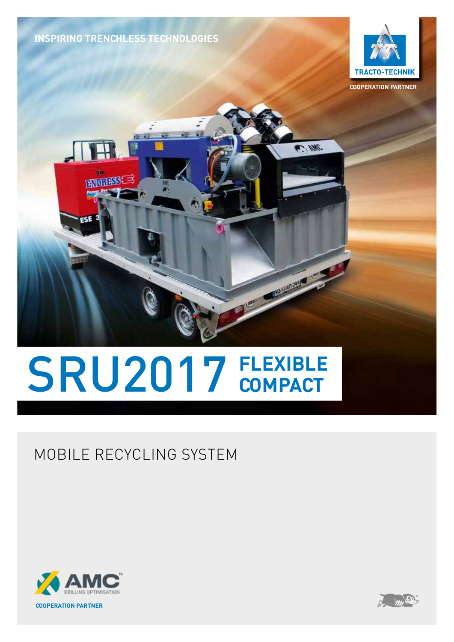**INSPIRING TRENCHLESS TECHNOLOGIES**

**TENSKE** 



**COOPERATION PARTNER**

**AS NWG** 

**EXAMPLE AND SHOP** 

# SRU2017 FLEXIBLE

### MOBILE RECYCLING SYSTEM